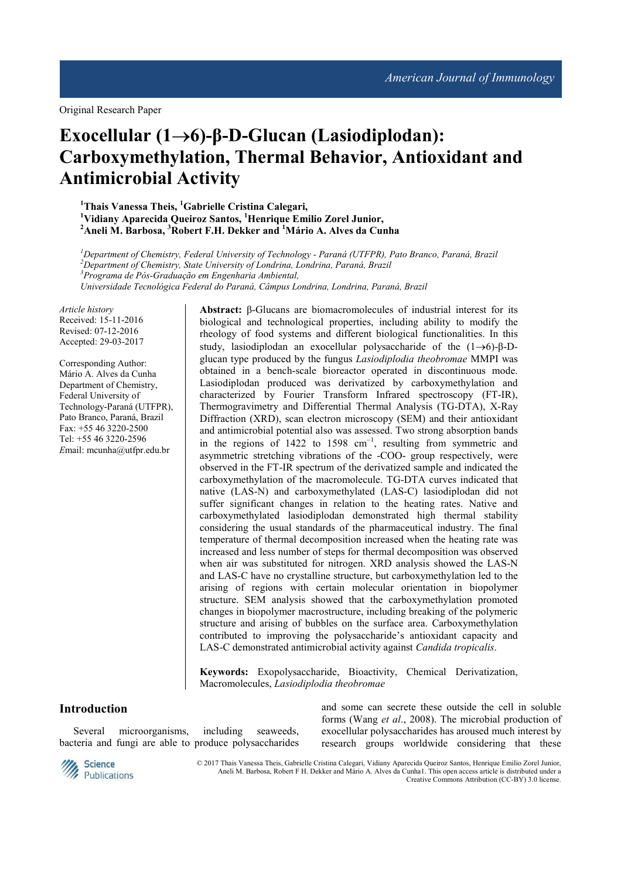# **Exocellular (1**→**6)-β-D-Glucan (Lasiodiplodan): Carboxymethylation, Thermal Behavior, Antioxidant and Antimicrobial Activity**

**<sup>1</sup>Thais Vanessa Theis, <sup>1</sup>Gabrielle Cristina Calegari, <sup>1</sup>Vidiany Aparecida Queiroz Santos, <sup>1</sup>Henrique Emilio Zorel Junior, <sup>2</sup>Aneli M. Barbosa, <sup>3</sup>Robert F.H. Dekker and <sup>1</sup>Mário A. Alves da Cunha**

*Department of Chemistry, Federal University of Technology - Paraná (UTFPR), Pato Branco, Paraná, Brazil Department of Chemistry, State University of Londrina, Londrina, Paraná, Brazil Programa de Pós-Graduação em Engenharia Ambiental, Universidade Tecnológica Federal do Paraná, Câmpus Londrina, Londrina, Paraná, Brazil* 

*Article history*  Received: 15-11-2016 Revised: 07-12-2016 Accepted: 29-03-2017

Corresponding Author: Mário A. Alves da Cunha Department of Chemistry, Federal University of Technology-Paraná (UTFPR), Pato Branco, Paraná, Brazil Fax: +55 46 3220-2500 Tel: +55 46 3220-2596 *E*mail: mcunha@utfpr.edu.br

**Abstract:** β-Glucans are biomacromolecules of industrial interest for its biological and technological properties, including ability to modify the rheology of food systems and different biological functionalities. In this study, lasiodiplodan an exocellular polysaccharide of the (1→6)-β-Dglucan type produced by the fungus *Lasiodiplodia theobromae* MMPI was obtained in a bench-scale bioreactor operated in discontinuous mode. Lasiodiplodan produced was derivatized by carboxymethylation and characterized by Fourier Transform Infrared spectroscopy (FT-IR), Thermogravimetry and Differential Thermal Analysis (TG-DTA), X-Ray Diffraction (XRD), scan electron microscopy (SEM) and their antioxidant and antimicrobial potential also was assessed. Two strong absorption bands in the regions of 1422 to 1598 cm<sup>-1</sup>, resulting from symmetric and asymmetric stretching vibrations of the -COO- group respectively, were observed in the FT-IR spectrum of the derivatized sample and indicated the carboxymethylation of the macromolecule. TG-DTA curves indicated that native (LAS-N) and carboxymethylated (LAS-C) lasiodiplodan did not suffer significant changes in relation to the heating rates. Native and carboxymethylated lasiodiplodan demonstrated high thermal stability considering the usual standards of the pharmaceutical industry. The final temperature of thermal decomposition increased when the heating rate was increased and less number of steps for thermal decomposition was observed when air was substituted for nitrogen. XRD analysis showed the LAS-N and LAS-C have no crystalline structure, but carboxymethylation led to the arising of regions with certain molecular orientation in biopolymer structure. SEM analysis showed that the carboxymethylation promoted changes in biopolymer macrostructure, including breaking of the polymeric structure and arising of bubbles on the surface area. Carboxymethylation contributed to improving the polysaccharide's antioxidant capacity and LAS-C demonstrated antimicrobial activity against *Candida tropicalis*.

**Keywords:** Exopolysaccharide, Bioactivity, Chemical Derivatization, Macromolecules, *Lasiodiplodia theobromae*

## **Introduction**

Several microorganisms, including seaweeds, bacteria and fungi are able to produce polysaccharides and some can secrete these outside the cell in soluble forms (Wang *et al*., 2008). The microbial production of exocellular polysaccharides has aroused much interest by research groups worldwide considering that these



© 2017 Thais Vanessa Theis, Gabrielle Cristina Calegari, Vidiany Aparecida Queiroz Santos, Henrique Emilio Zorel Junior, Aneli M. Barbosa, Robert F H. Dekker and Mário A. Alves da Cunha1. This open access article is distributed under a Creative Commons Attribution (CC-BY) 3.0 license.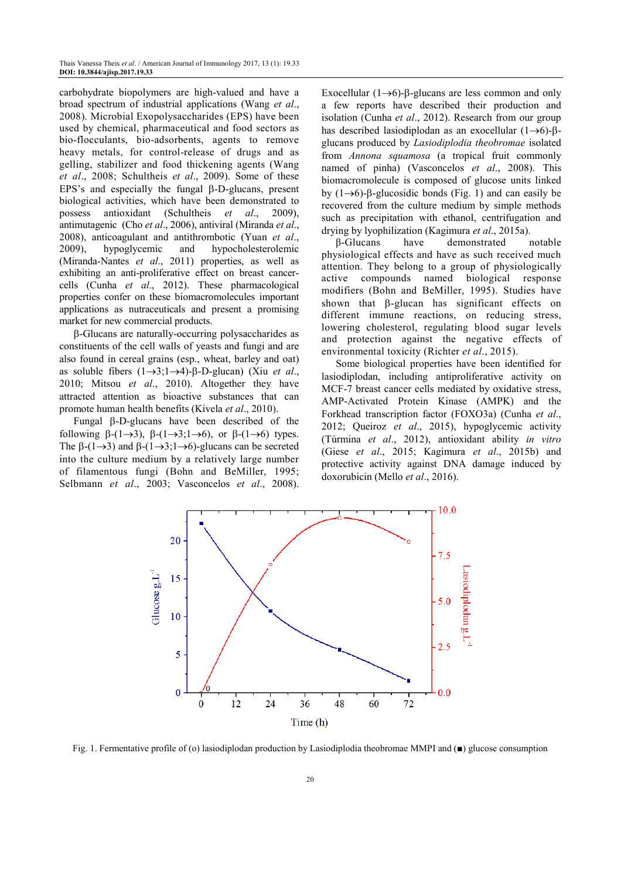carbohydrate biopolymers are high-valued and have a broad spectrum of industrial applications (Wang *et al*., 2008). Microbial Exopolysaccharides (EPS) have been used by chemical, pharmaceutical and food sectors as bio-flocculants, bio-adsorbents, agents to remove heavy metals, for control-release of drugs and as gelling, stabilizer and food thickening agents (Wang *et al*., 2008; Schultheis *et al*., 2009). Some of these EPS's and especially the fungal β-D-glucans, present biological activities, which have been demonstrated to possess antioxidant (Schultheis *et al*., 2009), antimutagenic (Cho *et al*., 2006), antiviral (Miranda *et al*., 2008), anticoagulant and antithrombotic (Yuan *et al*., 2009), hypoglycemic and hypocholesterolemic (Miranda-Nantes *et al*., 2011) properties, as well as exhibiting an anti-proliferative effect on breast cancercells (Cunha *et al*., 2012). These pharmacological properties confer on these biomacromolecules important applications as nutraceuticals and present a promising market for new commercial products.

β-Glucans are naturally-occurring polysaccharides as constituents of the cell walls of yeasts and fungi and are also found in cereal grains (esp., wheat, barley and oat) as soluble fibers (1→3;1→4)-β-D-glucan) (Xiu *et al*., 2010; Mitsou *et al*., 2010). Altogether they have attracted attention as bioactive substances that can promote human health benefits (Kivela *et al*., 2010).

Fungal β-D-glucans have been described of the following  $\beta$ -(1→3),  $\beta$ -(1→3;1→6), or  $\beta$ -(1→6) types. The  $\beta$ -(1→3) and  $\beta$ -(1→3;1→6)-glucans can be secreted into the culture medium by a relatively large number of filamentous fungi (Bohn and BeMiller, 1995; Selbmann *et al*., 2003; Vasconcelos *et al*., 2008).

Exocellular ( $1\rightarrow 6$ )-β-glucans are less common and only a few reports have described their production and isolation (Cunha *et al*., 2012). Research from our group has described lasiodiplodan as an exocellular (1→6)-βglucans produced by *Lasiodiplodia theobromae* isolated from *Annona squamosa* (a tropical fruit commonly named of pinha) (Vasconcelos *et al*., 2008). This biomacromolecule is composed of glucose units linked by  $(1\rightarrow 6)$ -β-glucosidic bonds (Fig. 1) and can easily be recovered from the culture medium by simple methods such as precipitation with ethanol, centrifugation and drying by lyophilization (Kagimura *et al*., 2015a).

β-Glucans have demonstrated notable physiological effects and have as such received much attention. They belong to a group of physiologically active compounds named biological response modifiers (Bohn and BeMiller, 1995). Studies have shown that β-glucan has significant effects on different immune reactions, on reducing stress, lowering cholesterol, regulating blood sugar levels and protection against the negative effects of environmental toxicity (Richter *et al*., 2015).

Some biological properties have been identified for lasiodiplodan, including antiproliferative activity on MCF-7 breast cancer cells mediated by oxidative stress, AMP-Activated Protein Kinase (AMPK) and the Forkhead transcription factor (FOXO3a) (Cunha *et al*., 2012; Queiroz *et al*., 2015), hypoglycemic activity (Túrmina *et al*., 2012), antioxidant ability *in vitro* (Giese *et al*., 2015; Kagimura *et al*., 2015b) and protective activity against DNA damage induced by doxorubicin (Mello *et al*., 2016).



Fig. 1. Fermentative profile of (o) lasiodiplodan production by Lasiodiplodia theobromae MMPI and (■) glucose consumption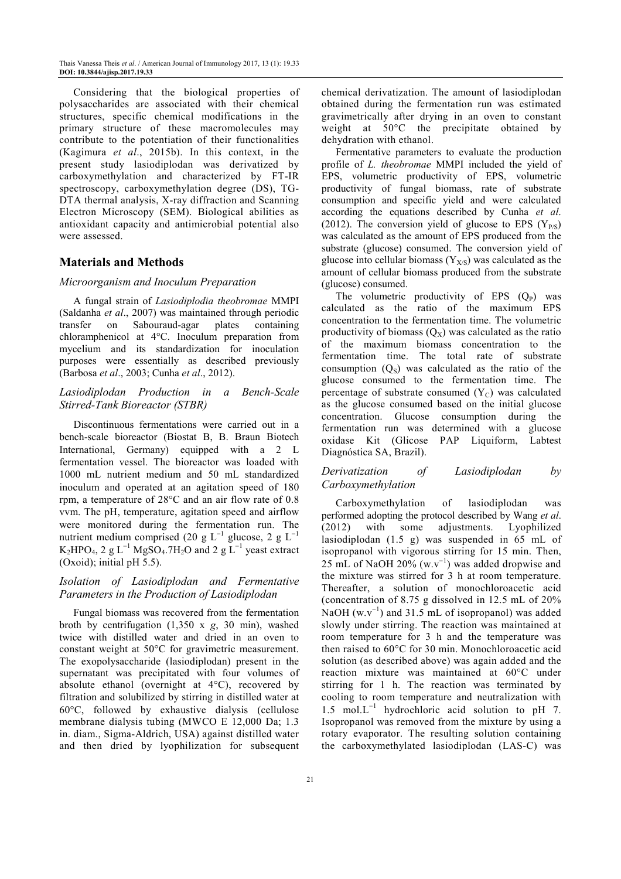Considering that the biological properties of polysaccharides are associated with their chemical structures, specific chemical modifications in the primary structure of these macromolecules may contribute to the potentiation of their functionalities (Kagimura *et al*., 2015b). In this context, in the present study lasiodiplodan was derivatized by carboxymethylation and characterized by FT-IR spectroscopy, carboxymethylation degree (DS), TG-DTA thermal analysis, X-ray diffraction and Scanning Electron Microscopy (SEM). Biological abilities as antioxidant capacity and antimicrobial potential also were assessed.

# **Materials and Methods**

#### *Microorganism and Inoculum Preparation*

A fungal strain of *Lasiodiplodia theobromae* MMPI (Saldanha *et al*., 2007) was maintained through periodic transfer on Sabouraud-agar plates containing chloramphenicol at 4°C. Inoculum preparation from mycelium and its standardization for inoculation purposes were essentially as described previously (Barbosa *et al*., 2003; Cunha *et al*., 2012).

# *Lasiodiplodan Production in a Bench-Scale Stirred-Tank Bioreactor (STBR)*

Discontinuous fermentations were carried out in a bench-scale bioreactor (Biostat B, B. Braun Biotech International, Germany) equipped with a 2 L fermentation vessel. The bioreactor was loaded with 1000 mL nutrient medium and 50 mL standardized inoculum and operated at an agitation speed of 180 rpm, a temperature of 28°C and an air flow rate of 0.8 vvm. The pH, temperature, agitation speed and airflow were monitored during the fermentation run. The nutrient medium comprised (20 g L<sup>-1</sup> glucose, 2 g L<sup>-1</sup>  $K_2HPO_4$ , 2 g L<sup>-1</sup> MgSO<sub>4</sub>.7H<sub>2</sub>O and 2 g L<sup>-1</sup> yeast extract (Oxoid); initial pH 5.5).

# *Isolation of Lasiodiplodan and Fermentative Parameters in the Production of Lasiodiplodan*

Fungal biomass was recovered from the fermentation broth by centrifugation (1,350 x *g*, 30 min), washed twice with distilled water and dried in an oven to constant weight at 50°C for gravimetric measurement. The exopolysaccharide (lasiodiplodan) present in the supernatant was precipitated with four volumes of absolute ethanol (overnight at 4°C), recovered by filtration and solubilized by stirring in distilled water at 60°C, followed by exhaustive dialysis (cellulose membrane dialysis tubing (MWCO E 12,000 Da; 1.3 in. diam., Sigma-Aldrich, USA) against distilled water and then dried by lyophilization for subsequent

chemical derivatization. The amount of lasiodiplodan obtained during the fermentation run was estimated gravimetrically after drying in an oven to constant weight at 50°C the precipitate obtained by dehydration with ethanol.

Fermentative parameters to evaluate the production profile of *L. theobromae* MMPI included the yield of EPS, volumetric productivity of EPS, volumetric productivity of fungal biomass, rate of substrate consumption and specific yield and were calculated according the equations described by Cunha *et al*. (2012). The conversion yield of glucose to EPS  $(Y_{P/S})$ was calculated as the amount of EPS produced from the substrate (glucose) consumed. The conversion yield of glucose into cellular biomass  $(Y_{X/S})$  was calculated as the amount of cellular biomass produced from the substrate (glucose) consumed.

The volumetric productivity of EPS  $(Q_P)$  was calculated as the ratio of the maximum EPS concentration to the fermentation time. The volumetric productivity of biomass  $(Q_X)$  was calculated as the ratio of the maximum biomass concentration to the fermentation time. The total rate of substrate consumption  $(Q<sub>S</sub>)$  was calculated as the ratio of the glucose consumed to the fermentation time. The percentage of substrate consumed  $(Y_C)$  was calculated as the glucose consumed based on the initial glucose concentration. Glucose consumption during the fermentation run was determined with a glucose oxidase Kit (Glicose PAP Liquiform, Labtest Diagnóstica SA, Brazil).

# *Derivatization of Lasiodiplodan by Carboxymethylation*

Carboxymethylation of lasiodiplodan was performed adopting the protocol described by Wang *et al*. (2012) with some adjustments. Lyophilized lasiodiplodan (1.5 g) was suspended in 65 mL of isopropanol with vigorous stirring for 15 min. Then, 25 mL of NaOH 20%  $(w.v^{-1})$  was added dropwise and the mixture was stirred for 3 h at room temperature. Thereafter, a solution of monochloroacetic acid (concentration of 8.75 g dissolved in 12.5 mL of 20% NaOH  $(w.v^{-1})$  and 31.5 mL of isopropanol) was added slowly under stirring. The reaction was maintained at room temperature for 3 h and the temperature was then raised to 60°C for 30 min. Monochloroacetic acid solution (as described above) was again added and the reaction mixture was maintained at 60°C under stirring for 1 h. The reaction was terminated by cooling to room temperature and neutralization with 1.5 mol.L<sup>−</sup><sup>1</sup> hydrochloric acid solution to pH 7. Isopropanol was removed from the mixture by using a rotary evaporator. The resulting solution containing the carboxymethylated lasiodiplodan (LAS-C) was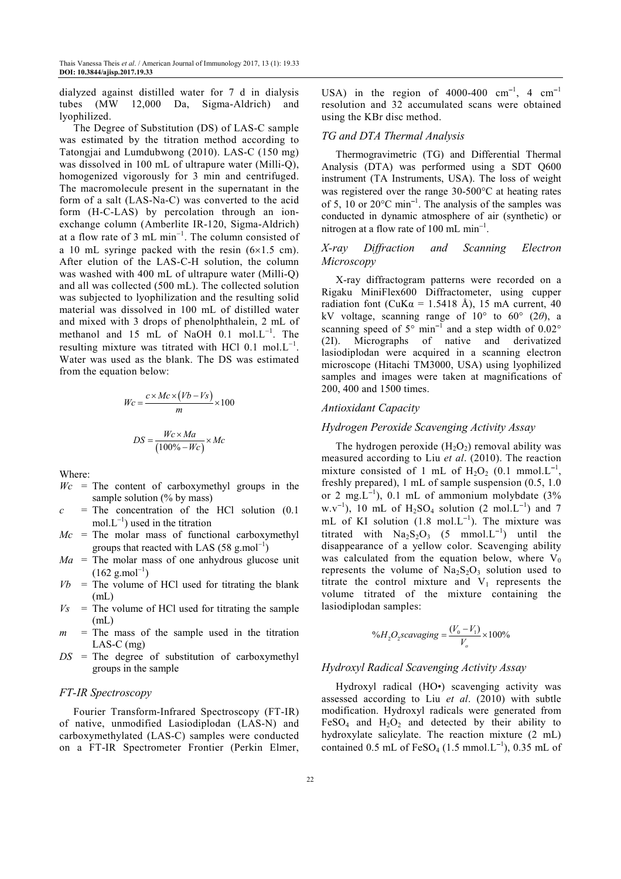dialyzed against distilled water for 7 d in dialysis tubes (MW 12,000 Da, Sigma-Aldrich) and lyophilized.

The Degree of Substitution (DS) of LAS-C sample was estimated by the titration method according to Tatongjai and Lumdubwong (2010). LAS-C (150 mg) was dissolved in 100 mL of ultrapure water (Milli-Q), homogenized vigorously for 3 min and centrifuged. The macromolecule present in the supernatant in the form of a salt (LAS-Na-C) was converted to the acid form (H-C-LAS) by percolation through an ionexchange column (Amberlite IR-120, Sigma-Aldrich) at a flow rate of 3 mL  $min^{-1}$ . The column consisted of a 10 mL syringe packed with the resin  $(6\times1.5 \text{ cm})$ . After elution of the LAS-C-H solution, the column was washed with 400 mL of ultrapure water (Milli-Q) and all was collected (500 mL). The collected solution was subjected to lyophilization and the resulting solid material was dissolved in 100 mL of distilled water and mixed with 3 drops of phenolphthalein, 2 mL of methanol and 15 mL of NaOH 0.1 mol.L<sup>-1</sup>. The resulting mixture was titrated with HCl  $0.1 \text{ mol.L}^{-1}$ . Water was used as the blank. The DS was estimated from the equation below:

$$
Wc = \frac{c \times Mc \times (Vb - Vs)}{m} \times 100
$$

$$
DS = \frac{Wc \times Ma}{(100\% - Wc)} \times Mc
$$

Where:

- $Wc$  = The content of carboxymethyl groups in the sample solution (% by mass)
- $c =$ The concentration of the HCl solution  $(0.1)$  $mol.L^{-1}$ ) used in the titration
- $Mc$  = The molar mass of functional carboxymethyl groups that reacted with LAS (58 g.mol<sup>-1</sup>)
- $Ma =$ The molar mass of one anhydrous glucose unit  $(162 \text{ g.mol}^{-1})$
- $Vb$  = The volume of HCl used for titrating the blank (mL)
- $V_s$  = The volume of HCl used for titrating the sample (mL)
- $m =$ The mass of the sample used in the titration LAS-C (mg)
- *DS* = The degree of substitution of carboxymethyl groups in the sample

#### *FT-IR Spectroscopy*

Fourier Transform-Infrared Spectroscopy (FT-IR) of native, unmodified Lasiodiplodan (LAS-N) and carboxymethylated (LAS-C) samples were conducted on a FT-IR Spectrometer Frontier (Perkin Elmer,

USA) in the region of 4000-400  $cm^{-1}$ , 4  $cm^{-1}$ resolution and 32 accumulated scans were obtained using the KBr disc method.

#### *TG and DTA Thermal Analysis*

Thermogravimetric (TG) and Differential Thermal Analysis (DTA) was performed using a SDT Q600 instrument (TA Instruments, USA). The loss of weight was registered over the range 30-500°C at heating rates of 5, 10 or 20°C min<sup>−</sup><sup>1</sup> . The analysis of the samples was conducted in dynamic atmosphere of air (synthetic) or nitrogen at a flow rate of 100 mL min<sup>-1</sup>.

## *X-ray Diffraction and Scanning Electron Microscopy*

X-ray diffractogram patterns were recorded on a Rigaku MiniFlex600 Diffractometer, using cupper radiation font (CuK $\alpha$  = 1.5418 Å), 15 mA current, 40 kV voltage, scanning range of  $10^{\circ}$  to  $60^{\circ}$  (2 $\theta$ ), a scanning speed of  $5^{\circ}$  min<sup>-1</sup> and a step width of  $0.02^{\circ}$ (2I). Micrographs of native and derivatized lasiodiplodan were acquired in a scanning electron microscope (Hitachi TM3000, USA) using lyophilized samples and images were taken at magnifications of 200, 400 and 1500 times.

# *Antioxidant Capacity*

## *Hydrogen Peroxide Scavenging Activity Assay*

The hydrogen peroxide  $(H_2O_2)$  removal ability was measured according to Liu *et al*. (2010). The reaction mixture consisted of 1 mL of  $H_2O_2$  (0.1 mmol.L<sup>-1</sup>, freshly prepared), 1 mL of sample suspension (0.5, 1.0 or 2 mg.L<sup>-1</sup>), 0.1 mL of ammonium molybdate  $(3\%$  $w.v^{-1}$ ), 10 mL of  $H_2SO_4$  solution (2 mol.L<sup>-1</sup>) and 7 mL of KI solution  $(1.8 \text{ mol} \cdot \text{L}^{-1})$ . The mixture was titrated with  $Na<sub>2</sub>S<sub>2</sub>O<sub>3</sub>$  (5 mmol.L<sup>-1</sup>) until the disappearance of a yellow color. Scavenging ability was calculated from the equation below, where  $V_0$ represents the volume of  $Na<sub>2</sub>S<sub>2</sub>O<sub>3</sub>$  solution used to titrate the control mixture and  $V_1$  represents the volume titrated of the mixture containing the lasiodiplodan samples:

$$
\%H_2O_2scavaging = \frac{(V_0 - V_1)}{V_o} \times 100\%
$$

#### *Hydroxyl Radical Scavenging Activity Assay*

Hydroxyl radical (HO•) scavenging activity was assessed according to Liu *et al*. (2010) with subtle modification. Hydroxyl radicals were generated from FeSO<sub>4</sub> and  $H_2O_2$  and detected by their ability to hydroxylate salicylate. The reaction mixture (2 mL) contained 0.5 mL of  $FeSO_4$  (1.5 mmol.L<sup>-1</sup>), 0.35 mL of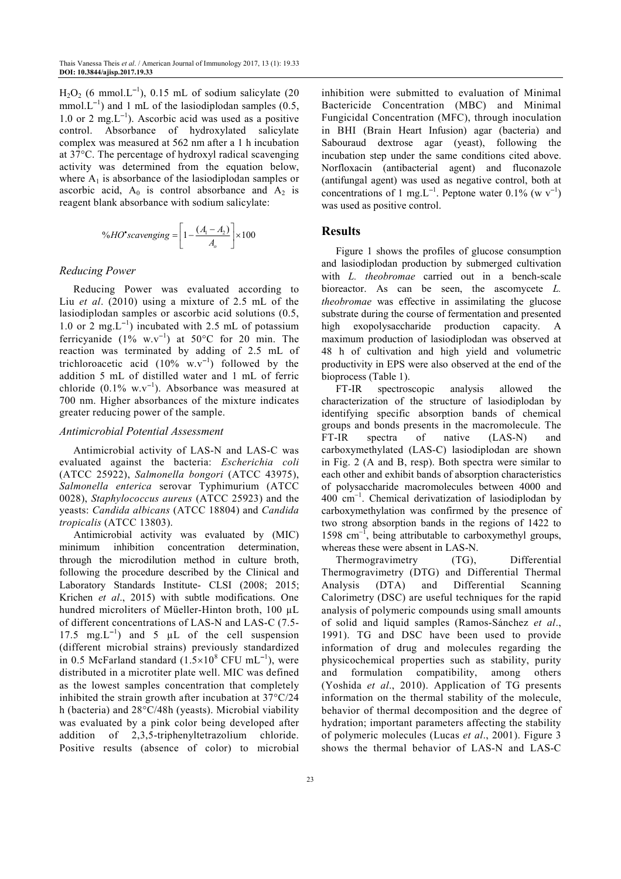$H_2O_2$  (6 mmol.L<sup>-1</sup>), 0.15 mL of sodium salicylate (20 mmol. $L^{-1}$ ) and 1 mL of the lasiodiplodan samples (0.5, 1.0 or 2 mg.L<sup>−</sup><sup>1</sup> ). Ascorbic acid was used as a positive control. Absorbance of hydroxylated salicylate complex was measured at 562 nm after a 1 h incubation at 37°C. The percentage of hydroxyl radical scavenging activity was determined from the equation below, where  $A_1$  is absorbance of the lasiodiplodan samples or ascorbic acid,  $A_0$  is control absorbance and  $A_2$  is reagent blank absorbance with sodium salicylate:

$$
\%HO^{\bullet}scavenging = \left[1 - \frac{(A_1 - A_2)}{A_o}\right] \times 100
$$

#### *Reducing Power*

Reducing Power was evaluated according to Liu *et al*. (2010) using a mixture of 2.5 mL of the lasiodiplodan samples or ascorbic acid solutions (0.5, 1.0 or 2 mg.L<sup>−</sup><sup>1</sup> ) incubated with 2.5 mL of potassium ferricyanide  $(1\% \text{ w.v}^{-1})$  at 50°C for 20 min. The reaction was terminated by adding of 2.5 mL of trichloroacetic acid  $(10\% \text{ w.v}^{-1})$  followed by the addition 5 mL of distilled water and 1 mL of ferric chloride  $(0.1\% \text{ w.v}^{-1})$ . Absorbance was measured at 700 nm. Higher absorbances of the mixture indicates greater reducing power of the sample.

#### *Antimicrobial Potential Assessment*

Antimicrobial activity of LAS-N and LAS-C was evaluated against the bacteria: *Escherichia coli* (ATCC 25922), *Salmonella bongori* (ATCC 43975), *Salmonella enterica* serovar Typhimurium (ATCC 0028), *Staphylococcus aureus* (ATCC 25923) and the yeasts: *Candida albicans* (ATCC 18804) and *Candida tropicalis* (ATCC 13803).

Antimicrobial activity was evaluated by (MIC) minimum inhibition concentration determination, through the microdilution method in culture broth, following the procedure described by the Clinical and Laboratory Standards Institute- CLSI (2008; 2015; Krichen *et al*., 2015) with subtle modifications. One hundred microliters of Müeller-Hinton broth, 100 µL of different concentrations of LAS-N and LAS-C (7.5- 17.5 mg. $L^{-1}$ ) and 5 µL of the cell suspension (different microbial strains) previously standardized in 0.5 McFarland standard  $(1.5 \times 10^8 \text{ CFU} \text{ mL}^{-1})$ , were distributed in a microtiter plate well. MIC was defined as the lowest samples concentration that completely inhibited the strain growth after incubation at 37°C/24 h (bacteria) and 28°C/48h (yeasts). Microbial viability was evaluated by a pink color being developed after addition of 2,3,5-triphenyltetrazolium chloride. Positive results (absence of color) to microbial

inhibition were submitted to evaluation of Minimal Bactericide Concentration (MBC) and Minimal Fungicidal Concentration (MFC), through inoculation in BHI (Brain Heart Infusion) agar (bacteria) and Sabouraud dextrose agar (yeast), following the incubation step under the same conditions cited above. Norfloxacin (antibacterial agent) and fluconazole (antifungal agent) was used as negative control, both at concentrations of 1 mg.L<sup>-1</sup>. Peptone water 0.1% (w v<sup>-1</sup>) was used as positive control.

#### **Results**

Figure 1 shows the profiles of glucose consumption and lasiodiplodan production by submerged cultivation with *L. theobromae* carried out in a bench-scale bioreactor. As can be seen, the ascomycete *L. theobromae* was effective in assimilating the glucose substrate during the course of fermentation and presented high exopolysaccharide production capacity. A maximum production of lasiodiplodan was observed at 48 h of cultivation and high yield and volumetric productivity in EPS were also observed at the end of the bioprocess (Table 1).

FT-IR spectroscopic analysis allowed the characterization of the structure of lasiodiplodan by identifying specific absorption bands of chemical groups and bonds presents in the macromolecule. The FT-IR spectra of native (LAS-N) and carboxymethylated (LAS-C) lasiodiplodan are shown in Fig. 2 (A and B, resp). Both spectra were similar to each other and exhibit bands of absorption characteristics of polysaccharide macromolecules between 4000 and 400 cm<sup>−</sup><sup>1</sup> . Chemical derivatization of lasiodiplodan by carboxymethylation was confirmed by the presence of two strong absorption bands in the regions of 1422 to 1598 cm<sup>−</sup><sup>1</sup> , being attributable to carboxymethyl groups, whereas these were absent in LAS-N.

Thermogravimetry (TG), Differential Thermogravimetry (DTG) and Differential Thermal Analysis (DTA) and Differential Scanning Calorimetry (DSC) are useful techniques for the rapid analysis of polymeric compounds using small amounts of solid and liquid samples (Ramos-Sánchez *et al*., 1991). TG and DSC have been used to provide information of drug and molecules regarding the physicochemical properties such as stability, purity and formulation compatibility, among others (Yoshida *et al*., 2010). Application of TG presents information on the thermal stability of the molecule, behavior of thermal decomposition and the degree of hydration; important parameters affecting the stability of polymeric molecules (Lucas *et al*., 2001). Figure 3 shows the thermal behavior of LAS-N and LAS-C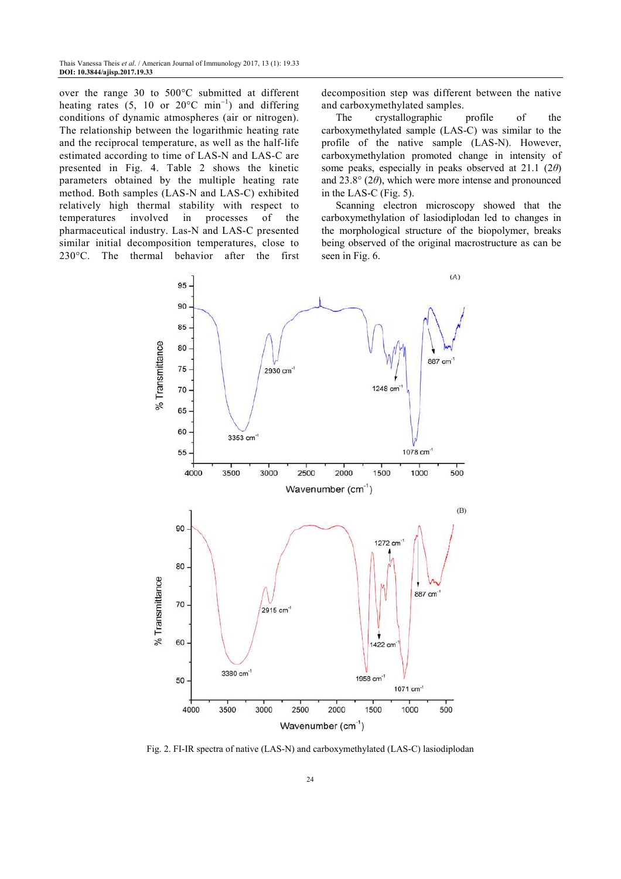over the range 30 to 500°C submitted at different heating rates (5, 10 or 20 $^{\circ}$ C min<sup>-1</sup>) and differing conditions of dynamic atmospheres (air or nitrogen). The relationship between the logarithmic heating rate and the reciprocal temperature, as well as the half-life estimated according to time of LAS-N and LAS-C are presented in Fig. 4. Table 2 shows the kinetic parameters obtained by the multiple heating rate method. Both samples (LAS-N and LAS-C) exhibited relatively high thermal stability with respect to temperatures involved in processes of the pharmaceutical industry. Las-N and LAS-C presented similar initial decomposition temperatures, close to 230°C. The thermal behavior after the first

decomposition step was different between the native

and carboxymethylated samples.<br>The crystallographic profile The crystallographic profile of the carboxymethylated sample (LAS-C) was similar to the profile of the native sample (LAS-N). However, carboxymethylation promoted change in intensity of some peaks, especially in peaks observed at 21.1 (2*θ*) and 23.8° (2*θ*), which were more intense and pronounced in the LAS-C (Fig. 5).

Scanning electron microscopy showed that the carboxymethylation of lasiodiplodan led to changes in the morphological structure of the biopolymer, breaks being observed of the original macrostructure as can be seen in Fig. 6.



Fig. 2. FI-IR spectra of native (LAS-N) and carboxymethylated (LAS-C) lasiodiplodan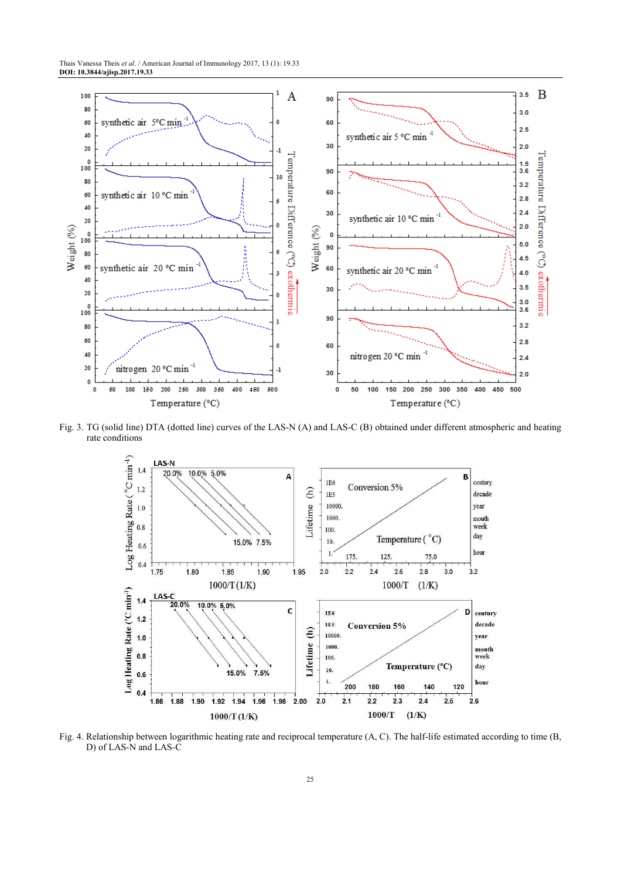

Fig. 3. TG (solid line) DTA (dotted line) curves of the LAS-N (A) and LAS-C (B) obtained under different atmospheric and heating rate conditions



Fig. 4. Relationship between logarithmic heating rate and reciprocal temperature (A, C). The half-life estimated according to time (B, D) of LAS-N and LAS-C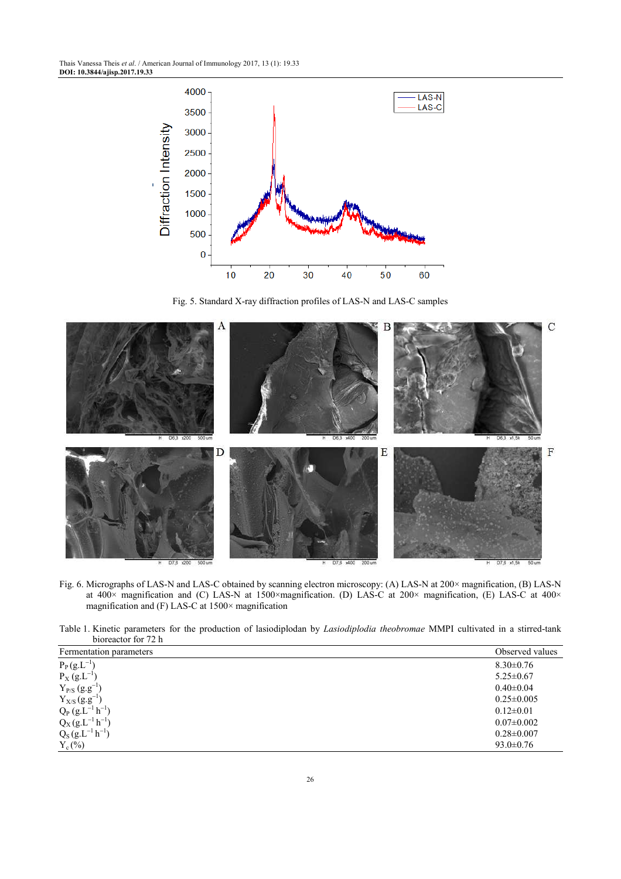Thais Vanessa Theis *et al*. / American Journal of Immunology 2017, 13 (1): 19.33 **DOI: 10.3844/ajisp.2017.19.33** 



Fig. 5. Standard X-ray diffraction profiles of LAS-N and LAS-C samples



Fig. 6. Micrographs of LAS-N and LAS-C obtained by scanning electron microscopy: (A) LAS-N at 200× magnification, (B) LAS-N at 400× magnification and (C) LAS-N at 1500×magnification. (D) LAS-C at 200× magnification, (E) LAS-C at 400× magnification and (F) LAS-C at 1500× magnification

Table 1. Kinetic parameters for the production of lasiodiplodan by *Lasiodiplodia theobromae* MMPI cultivated in a stirred-tank bioreactor for 72 h

| Fermentation parameters | Observed values  |
|-------------------------|------------------|
| $P_P(g.L^{-1})$         | $8.30\pm0.76$    |
| $P_X(g.L^{-1})$         | $5.25 \pm 0.67$  |
| $Y_{P/S}$ $(g.g^{-1})$  | $0.40 \pm 0.04$  |
| $Y_{X/S}(g.g^{-1})$     | $0.25 \pm 0.005$ |
| $Q_P (g.L^{-1} h^{-1})$ | $0.12 \pm 0.01$  |
| $Q_X(g.L^{-1}h^{-1})$   | $0.07 \pm 0.002$ |
| $Q_S (g.L^{-1} h^{-1})$ | $0.28 \pm 0.007$ |
| $Y_c$ (%)               | $93.0 \pm 0.76$  |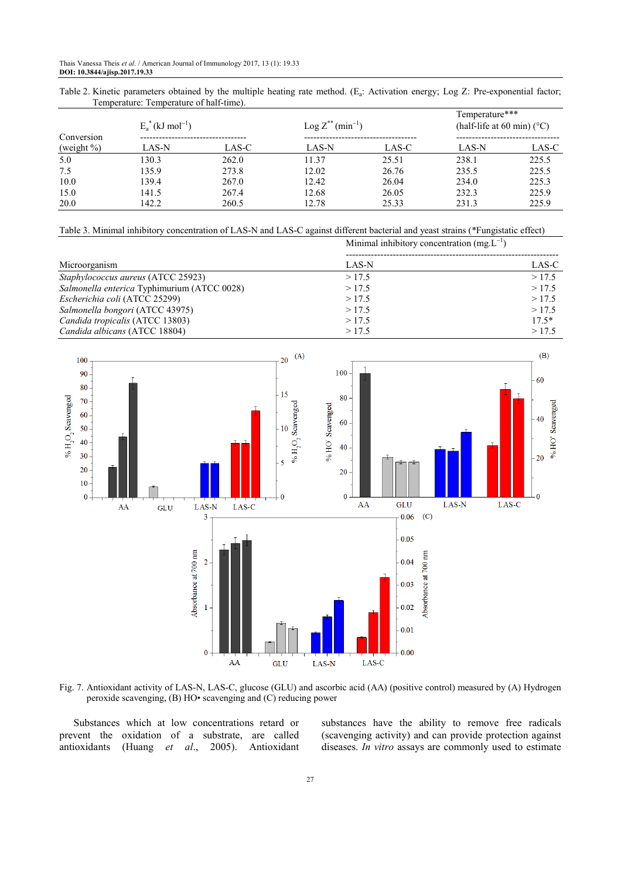Table 2. Kinetic parameters obtained by the multiple heating rate method. (E<sub>a</sub>: Activation energy; Log Z: Pre-exponential factor; Temperature: Temperature of half-time).

| Conversion<br>(weight $\%$ ) | $E_a^*$ (kJ mol <sup>-1</sup> ) |       | $\text{Log } Z^{**}(\text{min}^{-1})$ |       | Temperature***<br>(half-life at 60 min) $(^{\circ}C)$ |       |
|------------------------------|---------------------------------|-------|---------------------------------------|-------|-------------------------------------------------------|-------|
|                              | LAS-N                           | LAS-C | LAS-N                                 | LAS-C | LAS-N                                                 | LAS-C |
| 5.0                          | 130.3                           | 262.0 | 11.37                                 | 25.51 | 238.1                                                 | 225.5 |
| 7.5                          | 135.9                           | 273.8 | 12.02                                 | 26.76 | 235.5                                                 | 225.5 |
| 10.0                         | 139.4                           | 267.0 | 12.42                                 | 26.04 | 234.0                                                 | 225.3 |
| 15.0                         | 141.5                           | 267.4 | 12.68                                 | 26.05 | 232.3                                                 | 225.9 |
| 20.0                         | 142.2                           | 260.5 | 12.78                                 | 25.33 | 231.3                                                 | 225.9 |

Table 3. Minimal inhibitory concentration of LAS-N and LAS-C against different bacterial and yeast strains (\*Fungistatic effect)

|                                             | Minimal inhibitory concentration $(mg_{\rm L}L^{-1})$ |         |  |
|---------------------------------------------|-------------------------------------------------------|---------|--|
| Microorganism                               | LAS-N                                                 | LAS-C   |  |
| Staphylococcus aureus (ATCC 25923)          | >17.5                                                 | >17.5   |  |
| Salmonella enterica Typhimurium (ATCC 0028) | >17.5                                                 | >17.5   |  |
| Escherichia coli (ATCC 25299)               | >17.5                                                 | >17.5   |  |
| Salmonella bongori (ATCC 43975)             | >17.5                                                 | >17.5   |  |
| Candida tropicalis (ATCC 13803)             | >17.5                                                 | $17.5*$ |  |
| Candida albicans (ATCC 18804)               | >17.5                                                 | >17.5   |  |



Fig. 7. Antioxidant activity of LAS-N, LAS-C, glucose (GLU) and ascorbic acid (AA) (positive control) measured by (A) Hydrogen peroxide scavenging, (B) HO• scavenging and (C) reducing power

Substances which at low concentrations retard or prevent the oxidation of a substrate, are called antioxidants (Huang *et al*., 2005). Antioxidant substances have the ability to remove free radicals (scavenging activity) and can provide protection against diseases. *In vitro* assays are commonly used to estimate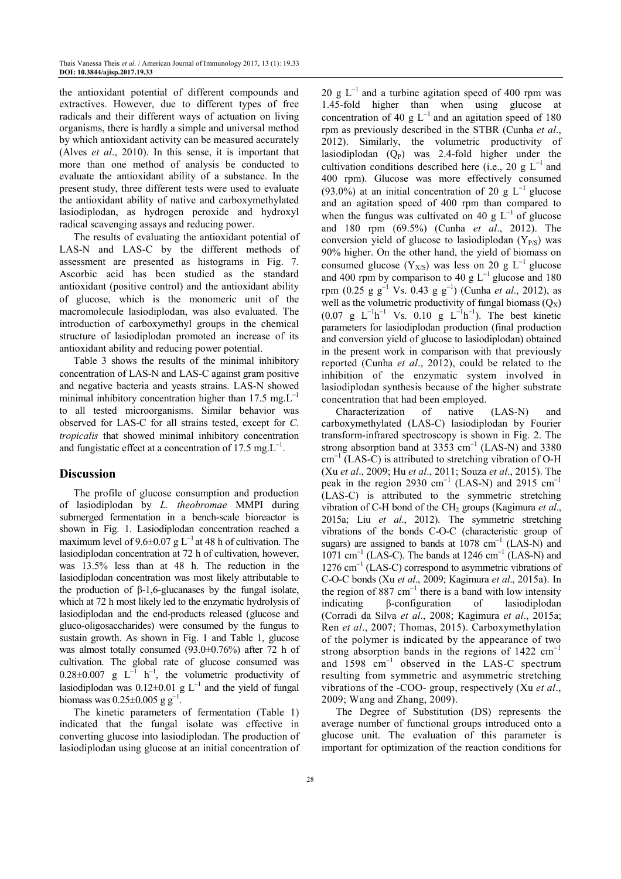the antioxidant potential of different compounds and extractives. However, due to different types of free radicals and their different ways of actuation on living organisms, there is hardly a simple and universal method by which antioxidant activity can be measured accurately (Alves *et al*., 2010). In this sense, it is important that more than one method of analysis be conducted to evaluate the antioxidant ability of a substance. In the present study, three different tests were used to evaluate the antioxidant ability of native and carboxymethylated lasiodiplodan, as hydrogen peroxide and hydroxyl radical scavenging assays and reducing power.

The results of evaluating the antioxidant potential of LAS-N and LAS-C by the different methods of assessment are presented as histograms in Fig. 7. Ascorbic acid has been studied as the standard antioxidant (positive control) and the antioxidant ability of glucose, which is the monomeric unit of the macromolecule lasiodiplodan, was also evaluated. The introduction of carboxymethyl groups in the chemical structure of lasiodiplodan promoted an increase of its antioxidant ability and reducing power potential.

Table 3 shows the results of the minimal inhibitory concentration of LAS-N and LAS-C against gram positive and negative bacteria and yeasts strains. LAS-N showed minimal inhibitory concentration higher than 17.5 mg. $L^{-1}$ to all tested microorganisms. Similar behavior was observed for LAS-C for all strains tested, except for *C. tropicalis* that showed minimal inhibitory concentration and fungistatic effect at a concentration of 17.5 mg. $L^{-1}$ .

## **Discussion**

The profile of glucose consumption and production of lasiodiplodan by *L. theobromae* MMPI during submerged fermentation in a bench-scale bioreactor is shown in Fig. 1. Lasiodiplodan concentration reached a maximum level of 9.6±0.07 g L<sup>-1</sup> at 48 h of cultivation. The lasiodiplodan concentration at 72 h of cultivation, however, was 13.5% less than at 48 h. The reduction in the lasiodiplodan concentration was most likely attributable to the production of β-1,6-glucanases by the fungal isolate, which at 72 h most likely led to the enzymatic hydrolysis of lasiodiplodan and the end-products released (glucose and gluco-oligosaccharides) were consumed by the fungus to sustain growth. As shown in Fig. 1 and Table 1, glucose was almost totally consumed (93.0±0.76%) after 72 h of cultivation. The global rate of glucose consumed was  $0.28 \pm 0.007$  g L<sup>-1</sup> h<sup>-1</sup>, the volumetric productivity of lasiodiplodan was  $0.12 \pm 0.01$  g L<sup>-1</sup> and the yield of fungal biomass was  $0.25 \pm 0.005$  g g<sup>-1</sup>.

The kinetic parameters of fermentation (Table 1) indicated that the fungal isolate was effective in converting glucose into lasiodiplodan. The production of lasiodiplodan using glucose at an initial concentration of 20 g  $L^{-1}$  and a turbine agitation speed of 400 rpm was 1.45-fold higher than when using glucose at concentration of 40 g  $L^{-1}$  and an agitation speed of 180 rpm as previously described in the STBR (Cunha *et al*., 2012). Similarly, the volumetric productivity of lasiodiplodan  $(Q_P)$  was 2.4-fold higher under the cultivation conditions described here (i.e., 20 g  $L^{-1}$  and 400 rpm). Glucose was more effectively consumed (93.0%) at an initial concentration of 20 g  $L^{-1}$  glucose and an agitation speed of 400 rpm than compared to when the fungus was cultivated on 40 g  $L^{-1}$  of glucose and 180 rpm (69.5%) (Cunha *et al*., 2012). The conversion yield of glucose to lasiodiplodan  $(Y_{P/S})$  was 90% higher. On the other hand, the yield of biomass on consumed glucose (Y<sub>X/S</sub>) was less on 20 g L<sup>-1</sup> glucose and 400 rpm by comparison to 40 g  $L^{-1}$  glucose and 180 rpm (0.25 g g<sup>−</sup><sup>1</sup> Vs. 0.43 g g<sup>−</sup><sup>1</sup> ) (Cunha *et al*., 2012), as well as the volumetric productivity of fungal biomass  $(Q_X)$  $(0.07 \text{ g } L^{-1}h^{-1} \text{ Vs. } 0.10 \text{ g } L^{-1}h^{-1})$ . The best kinetic parameters for lasiodiplodan production (final production and conversion yield of glucose to lasiodiplodan) obtained in the present work in comparison with that previously reported (Cunha *et al*., 2012), could be related to the inhibition of the enzymatic system involved in lasiodiplodan synthesis because of the higher substrate concentration that had been employed.

Characterization of native (LAS-N) and carboxymethylated (LAS-C) lasiodiplodan by Fourier transform-infrared spectroscopy is shown in Fig. 2. The strong absorption band at  $3353 \text{ cm}^{-1}$  (LAS-N) and  $3380$ cm<sup>−</sup><sup>1</sup> (LAS-C) is attributed to stretching vibration of O-H (Xu *et al*., 2009; Hu *et al*., 2011; Souza *et al*., 2015). The peak in the region 2930 cm<sup>-1</sup> (LAS-N) and 2915 cm<sup>-1</sup> (LAS-C) is attributed to the symmetric stretching vibration of C-H bond of the CH2 groups (Kagimura *et al*., 2015a; Liu *et al*., 2012). The symmetric stretching vibrations of the bonds C-O-C (characteristic group of sugars) are assigned to bands at  $1078 \text{ cm}^{-1}$  (LAS-N) and  $1071 \text{ cm}^{-1}$  (LAS-C). The bands at 1246 cm<sup>-1</sup> (LAS-N) and 1276 cm<sup>-1</sup> (LAS-C) correspond to asymmetric vibrations of C-O-C bonds (Xu *et al*., 2009; Kagimura *et al*., 2015a). In the region of 887  $cm^{-1}$  there is a band with low intensity indicating β-configuration of lasiodiplodan (Corradi da Silva *et al*., 2008; Kagimura *et al*., 2015a; Ren *et al*., 2007; Thomas, 2015). Carboxymethylation of the polymer is indicated by the appearance of two strong absorption bands in the regions of 1422 cm<sup>-1</sup> and 1598 cm<sup>−</sup><sup>1</sup> observed in the LAS-C spectrum resulting from symmetric and asymmetric stretching vibrations of the -COO- group, respectively (Xu *et al*., 2009; Wang and Zhang, 2009).

The Degree of Substitution (DS) represents the average number of functional groups introduced onto a glucose unit. The evaluation of this parameter is important for optimization of the reaction conditions for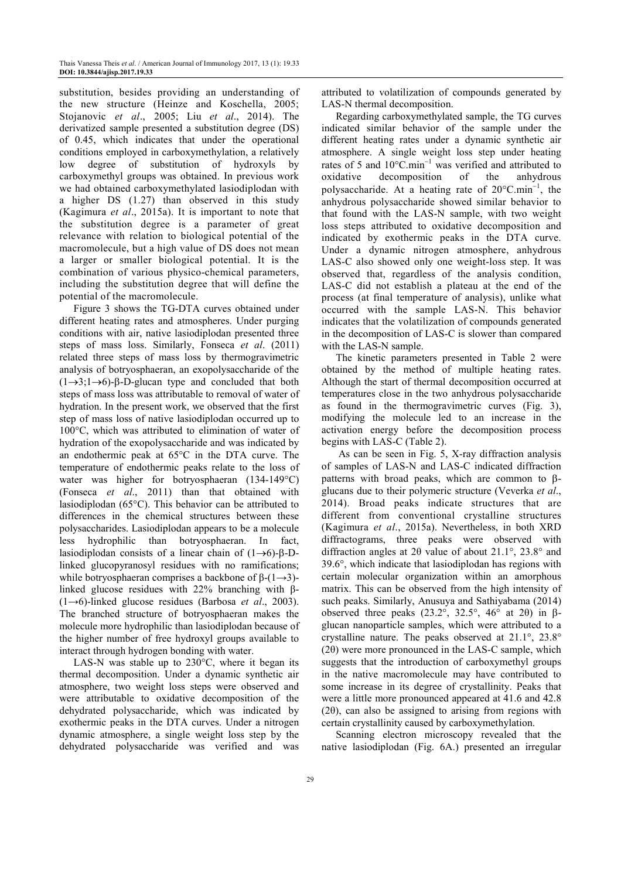substitution, besides providing an understanding of the new structure (Heinze and Koschella, 2005; Stojanovic *et al*., 2005; Liu *et al*., 2014). The derivatized sample presented a substitution degree (DS) of 0.45, which indicates that under the operational conditions employed in carboxymethylation, a relatively low degree of substitution of hydroxyls by carboxymethyl groups was obtained. In previous work we had obtained carboxymethylated lasiodiplodan with a higher DS (1.27) than observed in this study (Kagimura *et al*., 2015a). It is important to note that the substitution degree is a parameter of great relevance with relation to biological potential of the macromolecule, but a high value of DS does not mean a larger or smaller biological potential. It is the combination of various physico-chemical parameters, including the substitution degree that will define the potential of the macromolecule.

Figure 3 shows the TG-DTA curves obtained under different heating rates and atmospheres. Under purging conditions with air, native lasiodiplodan presented three steps of mass loss. Similarly, Fonseca *et al*. (2011) related three steps of mass loss by thermogravimetric analysis of botryosphaeran, an exopolysaccharide of the  $(1\rightarrow 3; 1\rightarrow 6)$ -β-D-glucan type and concluded that both steps of mass loss was attributable to removal of water of hydration. In the present work, we observed that the first step of mass loss of native lasiodiplodan occurred up to 100°C, which was attributed to elimination of water of hydration of the exopolysaccharide and was indicated by an endothermic peak at 65°C in the DTA curve. The temperature of endothermic peaks relate to the loss of water was higher for botryosphaeran (134-149°C) (Fonseca *et al*., 2011) than that obtained with lasiodiplodan (65°C). This behavior can be attributed to differences in the chemical structures between these polysaccharides. Lasiodiplodan appears to be a molecule less hydrophilic than botryosphaeran. In fact, lasiodiplodan consists of a linear chain of (1→6)-β-Dlinked glucopyranosyl residues with no ramifications; while botryosphaeran comprises a backbone of  $\beta$ -(1→3)linked glucose residues with 22% branching with β- (1→6)-linked glucose residues (Barbosa *et al*., 2003). The branched structure of botryosphaeran makes the molecule more hydrophilic than lasiodiplodan because of the higher number of free hydroxyl groups available to interact through hydrogen bonding with water.

LAS-N was stable up to 230°C, where it began its thermal decomposition. Under a dynamic synthetic air atmosphere, two weight loss steps were observed and were attributable to oxidative decomposition of the dehydrated polysaccharide, which was indicated by exothermic peaks in the DTA curves. Under a nitrogen dynamic atmosphere, a single weight loss step by the dehydrated polysaccharide was verified and was

attributed to volatilization of compounds generated by LAS-N thermal decomposition.

Regarding carboxymethylated sample, the TG curves indicated similar behavior of the sample under the different heating rates under a dynamic synthetic air atmosphere. A single weight loss step under heating rates of 5 and  $10^{\circ}$ C.min<sup>-1</sup> was verified and attributed to oxidative decomposition of the anhydrous polysaccharide. At a heating rate of 20°C.min<sup>-1</sup>, the anhydrous polysaccharide showed similar behavior to that found with the LAS-N sample, with two weight loss steps attributed to oxidative decomposition and indicated by exothermic peaks in the DTA curve. Under a dynamic nitrogen atmosphere, anhydrous LAS-C also showed only one weight-loss step. It was observed that, regardless of the analysis condition, LAS-C did not establish a plateau at the end of the process (at final temperature of analysis), unlike what occurred with the sample LAS-N. This behavior indicates that the volatilization of compounds generated in the decomposition of LAS-C is slower than compared with the LAS-N sample.

The kinetic parameters presented in Table 2 were obtained by the method of multiple heating rates. Although the start of thermal decomposition occurred at temperatures close in the two anhydrous polysaccharide as found in the thermogravimetric curves (Fig. 3), modifying the molecule led to an increase in the activation energy before the decomposition process begins with LAS-C (Table 2).

 As can be seen in Fig. 5, X-ray diffraction analysis of samples of LAS-N and LAS-C indicated diffraction patterns with broad peaks, which are common to βglucans due to their polymeric structure (Veverka *et al*., 2014). Broad peaks indicate structures that are different from conventional crystalline structures (Kagimura *et al*., 2015a). Nevertheless, in both XRD diffractograms, three peaks were observed with diffraction angles at 2θ value of about 21.1°, 23.8° and 39.6°, which indicate that lasiodiplodan has regions with certain molecular organization within an amorphous matrix. This can be observed from the high intensity of such peaks. Similarly, Anusuya and Sathiyabama (2014) observed three peaks (23.2°, 32.5°, 46° at 2θ) in βglucan nanoparticle samples, which were attributed to a crystalline nature. The peaks observed at 21.1°, 23.8°  $(2\theta)$  were more pronounced in the LAS-C sample, which suggests that the introduction of carboxymethyl groups in the native macromolecule may have contributed to some increase in its degree of crystallinity. Peaks that were a little more pronounced appeared at 41.6 and 42.8 (2 $\theta$ ), can also be assigned to arising from regions with certain crystallinity caused by carboxymethylation.

Scanning electron microscopy revealed that the native lasiodiplodan (Fig. 6A.) presented an irregular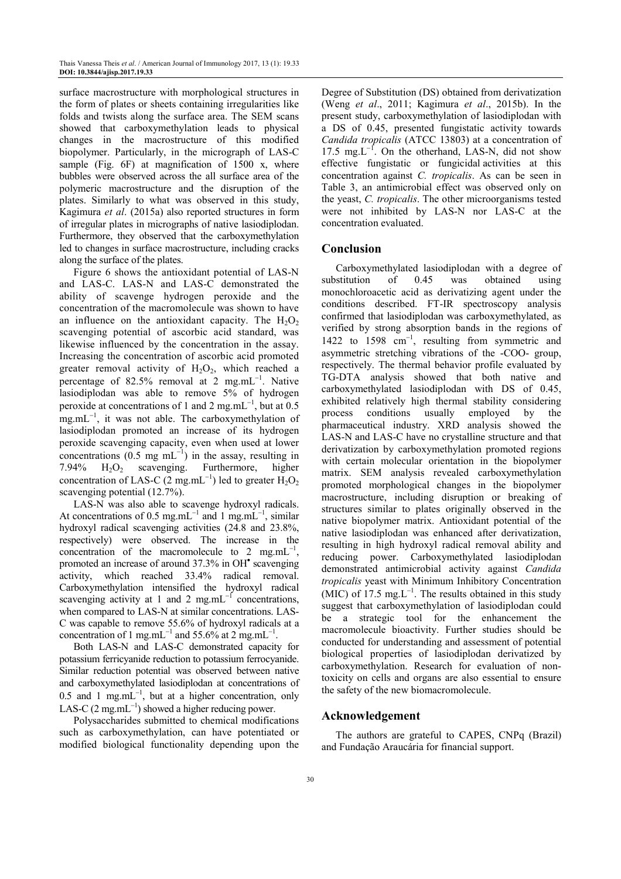surface macrostructure with morphological structures in the form of plates or sheets containing irregularities like folds and twists along the surface area. The SEM scans showed that carboxymethylation leads to physical changes in the macrostructure of this modified biopolymer. Particularly, in the micrograph of LAS-C sample (Fig. 6F) at magnification of 1500 x, where bubbles were observed across the all surface area of the polymeric macrostructure and the disruption of the plates. Similarly to what was observed in this study, Kagimura *et al*. (2015a) also reported structures in form of irregular plates in micrographs of native lasiodiplodan. Furthermore, they observed that the carboxymethylation led to changes in surface macrostructure, including cracks along the surface of the plates.

Figure 6 shows the antioxidant potential of LAS-N and LAS-C. LAS-N and LAS-C demonstrated the ability of scavenge hydrogen peroxide and the concentration of the macromolecule was shown to have an influence on the antioxidant capacity. The  $H_2O_2$ scavenging potential of ascorbic acid standard, was likewise influenced by the concentration in the assay. Increasing the concentration of ascorbic acid promoted greater removal activity of  $H_2O_2$ , which reached a percentage of 82.5% removal at 2 mg.mL<sup>-1</sup>. Native lasiodiplodan was able to remove 5% of hydrogen peroxide at concentrations of 1 and 2 mg.mL $^{-1}$ , but at 0.5 mg.mL<sup>-1</sup>, it was not able. The carboxymethylation of lasiodiplodan promoted an increase of its hydrogen peroxide scavenging capacity, even when used at lower concentrations (0.5 mg mL<sup>-1</sup>) in the assay, resulting in 7.94%  $H_2O_2$  scavenging. Furthermore, higher concentration of LAS-C (2 mg.mL<sup>-1</sup>) led to greater  $H_2O_2$ scavenging potential (12.7%).

LAS-N was also able to scavenge hydroxyl radicals. At concentrations of 0.5 mg.mL<sup>-1</sup> and 1 mg.mL<sup>-1</sup>, similar hydroxyl radical scavenging activities (24.8 and 23.8%, respectively) were observed. The increase in the concentration of the macromolecule to 2 mg.m $L^{-1}$ , promoted an increase of around 37.3% in OH<sup>•</sup> scavenging activity, which reached 33.4% radical removal. Carboxymethylation intensified the hydroxyl radical scavenging activity at 1 and 2 mg.mL $^{-1}$  concentrations, when compared to LAS-N at similar concentrations. LAS-C was capable to remove 55.6% of hydroxyl radicals at a concentration of 1 mg.mL<sup>-1</sup> and 55.6% at 2 mg.mL<sup>-1</sup>.

Both LAS-N and LAS-C demonstrated capacity for potassium ferricyanide reduction to potassium ferrocyanide. Similar reduction potential was observed between native and carboxymethylated lasiodiplodan at concentrations of 0.5 and 1 mg.mL<sup>-1</sup>, but at a higher concentration, only LAS-C  $(2 \text{ mg.mL}^{-1})$  showed a higher reducing power.

Polysaccharides submitted to chemical modifications such as carboxymethylation, can have potentiated or modified biological functionality depending upon the Degree of Substitution (DS) obtained from derivatization (Weng *et al*., 2011; Kagimura *et al*., 2015b). In the present study, carboxymethylation of lasiodiplodan with a DS of 0.45, presented fungistatic activity towards *Candida tropicalis* (ATCC 13803) at a concentration of 17.5 mg.L<sup>-1</sup>. On the otherhand, LAS-N, did not show effective fungistatic or fungicidal activities at this concentration against *C. tropicalis*. As can be seen in Table 3, an antimicrobial effect was observed only on the yeast, *C. tropicalis*. The other microorganisms tested were not inhibited by LAS-N nor LAS-C at the concentration evaluated.

# **Conclusion**

Carboxymethylated lasiodiplodan with a degree of substitution of 0.45 was obtained using monochloroacetic acid as derivatizing agent under the conditions described. FT-IR spectroscopy analysis confirmed that lasiodiplodan was carboxymethylated, as verified by strong absorption bands in the regions of 1422 to 1598 cm<sup>−</sup><sup>1</sup> , resulting from symmetric and asymmetric stretching vibrations of the -COO- group, respectively. The thermal behavior profile evaluated by TG-DTA analysis showed that both native and carboxymethylated lasiodiplodan with DS of 0.45, exhibited relatively high thermal stability considering process conditions usually employed by the pharmaceutical industry. XRD analysis showed the LAS-N and LAS-C have no crystalline structure and that derivatization by carboxymethylation promoted regions with certain molecular orientation in the biopolymer matrix. SEM analysis revealed carboxymethylation promoted morphological changes in the biopolymer macrostructure, including disruption or breaking of structures similar to plates originally observed in the native biopolymer matrix. Antioxidant potential of the native lasiodiplodan was enhanced after derivatization, resulting in high hydroxyl radical removal ability and reducing power. Carboxymethylated lasiodiplodan demonstrated antimicrobial activity against *Candida tropicalis* yeast with Minimum Inhibitory Concentration (MIC) of 17.5 mg. $L^{-1}$ . The results obtained in this study suggest that carboxymethylation of lasiodiplodan could be a strategic tool for the enhancement the macromolecule bioactivity. Further studies should be conducted for understanding and assessment of potential biological properties of lasiodiplodan derivatized by carboxymethylation. Research for evaluation of nontoxicity on cells and organs are also essential to ensure the safety of the new biomacromolecule.

### **Acknowledgement**

The authors are grateful to CAPES, CNPq (Brazil) and Fundação Araucária for financial support.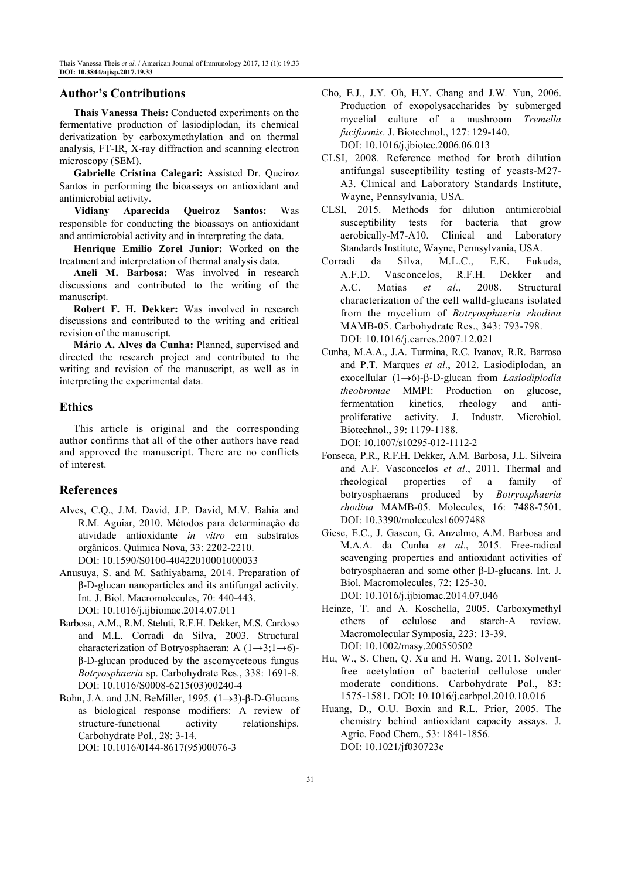## **Author's Contributions**

**Thais Vanessa Theis:** Conducted experiments on the fermentative production of lasiodiplodan, its chemical derivatization by carboxymethylation and on thermal analysis, FT-IR, X-ray diffraction and scanning electron microscopy (SEM).

**Gabrielle Cristina Calegari:** Assisted Dr. Queiroz Santos in performing the bioassays on antioxidant and antimicrobial activity.

**Vidiany Aparecida Queiroz Santos:** Was responsible for conducting the bioassays on antioxidant and antimicrobial activity and in interpreting the data.

**Henrique Emilio Zorel Junior:** Worked on the treatment and interpretation of thermal analysis data.

**Aneli M. Barbosa:** Was involved in research discussions and contributed to the writing of the manuscript.

**Robert F. H. Dekker:** Was involved in research discussions and contributed to the writing and critical revision of the manuscript.

**Mário A. Alves da Cunha:** Planned, supervised and directed the research project and contributed to the writing and revision of the manuscript, as well as in interpreting the experimental data.

## **Ethics**

This article is original and the corresponding author confirms that all of the other authors have read and approved the manuscript. There are no conflicts of interest.

## **References**

- Alves, C.Q., J.M. David, J.P. David, M.V. Bahia and R.M. Aguiar, 2010. Métodos para determinação de atividade antioxidante *in vitro* em substratos orgânicos. Química Nova, 33: 2202-2210. DOI: 10.1590/S0100-40422010001000033
- Anusuya, S. and M. Sathiyabama, 2014. Preparation of β-D-glucan nanoparticles and its antifungal activity. Int. J. Biol. Macromolecules, 70: 440-443. DOI: 10.1016/j.ijbiomac.2014.07.011
- Barbosa, A.M., R.M. Steluti, R.F.H. Dekker, M.S. Cardoso and M.L. Corradi da Silva, 2003. Structural characterization of Botryosphaeran: A  $(1\rightarrow 3:1\rightarrow 6)$ β-D-glucan produced by the ascomyceteous fungus *Botryosphaeria* sp. Carbohydrate Res., 338: 1691-8. DOI: 10.1016/S0008-6215(03)00240-4
- Bohn, J.A. and J.N. BeMiller, 1995. (1→3)-β-D-Glucans as biological response modifiers: A review of structure-functional activity relationships. Carbohydrate Pol., 28: 3-14. DOI: 10.1016/0144-8617(95)00076-3
- Cho, E.J., J.Y. Oh, H.Y. Chang and J.W*.* Yun, 2006. Production of exopolysaccharides by submerged mycelial culture of a mushroom *Tremella fuciformis*. J. Biotechnol., 127: 129-140. DOI: 10.1016/j.jbiotec.2006.06.013
- CLSI, 2008. Reference method for broth dilution antifungal susceptibility testing of yeasts-M27- A3. Clinical and Laboratory Standards Institute, Wayne, Pennsylvania, USA.
- CLSI, 2015. Methods for dilution antimicrobial susceptibility tests for bacteria that grow aerobically-M7-A10. Clinical and Laboratory Standards Institute, Wayne, Pennsylvania, USA.
- Corradi da Silva, M.L.C., E.K. Fukuda, A.F.D. Vasconcelos, R.F.H. Dekker and A.C. Matias *et al*., 2008. Structural characterization of the cell walld-glucans isolated from the mycelium of *Botryosphaeria rhodina* MAMB-05. Carbohydrate Res., 343: 793-798. DOI: 10.1016/j.carres.2007.12.021
- Cunha, M.A.A., J.A. Turmina, R.C. Ivanov, R.R. Barroso and P.T. Marques *et al*., 2012. Lasiodiplodan, an exocellular (1→6)-β-D-glucan from *Lasiodiplodia theobromae* MMPI: Production on glucose, fermentation kinetics, rheology and antiproliferative activity. J. Industr. Microbiol. Biotechnol., 39: 1179-1188. DOI: 10.1007/s10295-012-1112-2

Fonseca, P.R., R.F.H. Dekker, A.M. Barbosa, J.L. Silveira and A.F. Vasconcelos *et al*., 2011. Thermal and rheological properties of a family of botryosphaerans produced by *Botryosphaeria rhodina* MAMB-05. Molecules, 16: 7488-7501. DOI: 10.3390/molecules16097488

- Giese, E.C., J. Gascon, G. Anzelmo, A.M. Barbosa and M.A.A. da Cunha *et al*., 2015. Free-radical scavenging properties and antioxidant activities of botryosphaeran and some other β-D-glucans. Int. J. Biol. Macromolecules, 72: 125-30. DOI: 10.1016/j.ijbiomac.2014.07.046
- Heinze, T. and A. Koschella, 2005. Carboxymethyl ethers of celulose and starch-A review. Macromolecular Symposia, 223: 13-39. DOI: 10.1002/masy.200550502
- Hu, W., S. Chen, Q. Xu and H. Wang, 2011. Solventfree acetylation of bacterial cellulose under moderate conditions. Carbohydrate Pol., 83: 1575-1581. DOI: 10.1016/j.carbpol.2010.10.016
- Huang, D., O.U. Boxin and R.L. Prior, 2005. The chemistry behind antioxidant capacity assays. J. Agric. Food Chem., 53: 1841-1856. DOI: 10.1021/jf030723c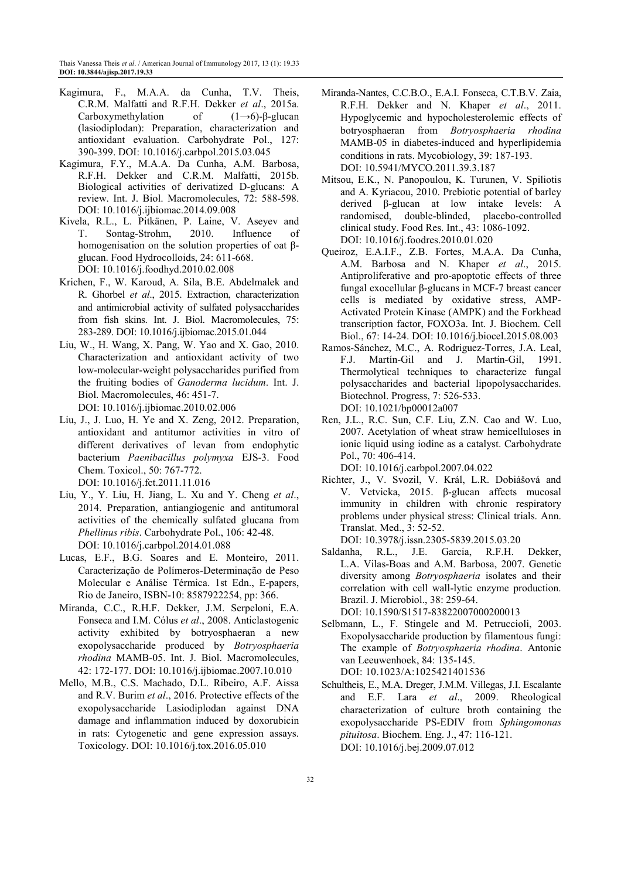- Kagimura, F., M.A.A. da Cunha, T.V. Theis, C.R.M. Malfatti and R.F.H. Dekker *et al*., 2015a. Carboxymethylation of  $(1\rightarrow 6)$ -β-glucan (lasiodiplodan): Preparation, characterization and antioxidant evaluation. Carbohydrate Pol., 127: 390-399. DOI: 10.1016/j.carbpol.2015.03.045
- Kagimura, F.Y., M.A.A. Da Cunha, A.M. Barbosa, R.F.H. Dekker and C.R.M. Malfatti, 2015b. Biological activities of derivatized D-glucans: A review. Int. J. Biol. Macromolecules, 72: 588-598. DOI: 10.1016/j.ijbiomac.2014.09.008
- Kivela, R.L., L. Pitkänen, P. Laine, V. Aseyev and T. Sontag-Strohm, 2010. Influence of homogenisation on the solution properties of oat βglucan. Food Hydrocolloids, 24: 611-668. DOI: 10.1016/j.foodhyd.2010.02.008
- Krichen, F., W. Karoud, A. Sila, B.E. Abdelmalek and R. Ghorbel *et al*., 2015. Extraction, characterization and antimicrobial activity of sulfated polysaccharides from fish skins. Int. J. Biol. Macromolecules, 75: 283-289. DOI: 10.1016/j.ijbiomac.2015.01.044
- Liu, W., H. Wang, X. Pang, W. Yao and X. Gao, 2010. Characterization and antioxidant activity of two low-molecular-weight polysaccharides purified from the fruiting bodies of *Ganoderma lucidum*. Int. J. Biol. Macromolecules, 46: 451-7. DOI: 10.1016/j.ijbiomac.2010.02.006
- Liu, J., J. Luo, H. Ye and X. Zeng, 2012. Preparation, antioxidant and antitumor activities in vitro of different derivatives of levan from endophytic bacterium *Paenibacillus polymyxa* EJS-3. Food Chem. Toxicol., 50: 767-772. DOI: 10.1016/j.fct.2011.11.016
- Liu, Y., Y. Liu, H. Jiang, L. Xu and Y. Cheng *et al*., 2014. Preparation, antiangiogenic and antitumoral activities of the chemically sulfated glucana from *Phellinus ribis*. Carbohydrate Pol., 106: 42-48. DOI: 10.1016/j.carbpol.2014.01.088
- Lucas, E.F., B.G. Soares and E. Monteiro, 2011. Caracterização de Polímeros-Determinação de Peso Molecular e Análise Térmica. 1st Edn., E-papers, Rio de Janeiro, ISBN-10: 8587922254, pp: 366.
- Miranda, C.C., R.H.F. Dekker, J.M. Serpeloni, E.A. Fonseca and I.M. Cólus *et al*., 2008. Anticlastogenic activity exhibited by botryosphaeran a new exopolysaccharide produced by *Botryosphaeria rhodina* MAMB-05. Int. J. Biol. Macromolecules, 42: 172-177. DOI: 10.1016/j.ijbiomac.2007.10.010
- Mello, M.B., C.S. Machado, D.L. Ribeiro, A.F. Aissa and R.V. Burim *et al*., 2016. Protective effects of the exopolysaccharide Lasiodiplodan against DNA damage and inflammation induced by doxorubicin in rats: Cytogenetic and gene expression assays. Toxicology. DOI: 10.1016/j.tox.2016.05.010
- Miranda-Nantes, C.C.B.O., E.A.I. Fonseca, C.T.B.V. Zaia, R.F.H. Dekker and N. Khaper *et al*., 2011. Hypoglycemic and hypocholesterolemic effects of botryosphaeran from *Botryosphaeria rhodina* MAMB-05 in diabetes-induced and hyperlipidemia conditions in rats. Mycobiology, 39: 187-193. DOI: 10.5941/MYCO.2011.39.3.187
- Mitsou, E.K., N. Panopoulou, K. Turunen, V. Spiliotis and A. Kyriacou, 2010. Prebiotic potential of barley derived β-glucan at low intake levels: A randomised, double-blinded, placebo-controlled clinical study. Food Res. Int., 43: 1086-1092. DOI: 10.1016/j.foodres.2010.01.020
- Queiroz, E.A.I.F., Z.B. Fortes, M.A.A. Da Cunha, A.M. Barbosa and N. Khaper *et al*., 2015. Antiproliferative and pro-apoptotic effects of three fungal exocellular β-glucans in MCF-7 breast cancer cells is mediated by oxidative stress, AMP-Activated Protein Kinase (AMPK) and the Forkhead transcription factor, FOXO3a. Int. J. Biochem. Cell Biol., 67: 14-24. DOI: 10.1016/j.biocel.2015.08.003
- Ramos-Sánchez, M.C., A. Rodriguez-Torres, J.A. Leal, F.J. Martín-Gil and J. Martín-Gil, 1991. Thermolytical techniques to characterize fungal polysaccharides and bacterial lipopolysaccharides. Biotechnol. Progress, 7: 526-533. DOI: 10.1021/bp00012a007
- Ren, J.L., R.C. Sun, C.F. Liu, Z.N. Cao and W. Luo, 2007. Acetylation of wheat straw hemicelluloses in ionic liquid using iodine as a catalyst. Carbohydrate Pol., 70: 406-414. DOI: 10.1016/j.carbpol.2007.04.022
- Richter, J., V. Svozil, V. Král, L.R. Dobiášová and V. Vetvicka, 2015. β-glucan affects mucosal immunity in children with chronic respiratory problems under physical stress: Clinical trials. Ann. Translat. Med., 3: 52-52. DOI: 10.3978/j.issn.2305-5839.2015.03.20
- Saldanha, R.L., J.E. Garcia, R.F.H. Dekker, L.A. Vilas-Boas and A.M. Barbosa, 2007. Genetic diversity among *Botryosphaeria* isolates and their correlation with cell wall-lytic enzyme production. Brazil. J. Microbiol., 38: 259-64. DOI: 10.1590/S1517-83822007000200013
- Selbmann, L., F. Stingele and M. Petruccioli, 2003. Exopolysaccharide production by filamentous fungi: The example of *Botryosphaeria rhodina*. Antonie van Leeuwenhoek, 84: 135-145. DOI: 10.1023/A:1025421401536
- Schultheis, E., M.A. Dreger, J.M.M. Villegas, J.I. Escalante and E.F. Lara *et al*., 2009. Rheological characterization of culture broth containing the exopolysaccharide PS-EDIV from *Sphingomonas pituitosa*. Biochem. Eng. J., 47: 116-121. DOI: 10.1016/j.bej.2009.07.012